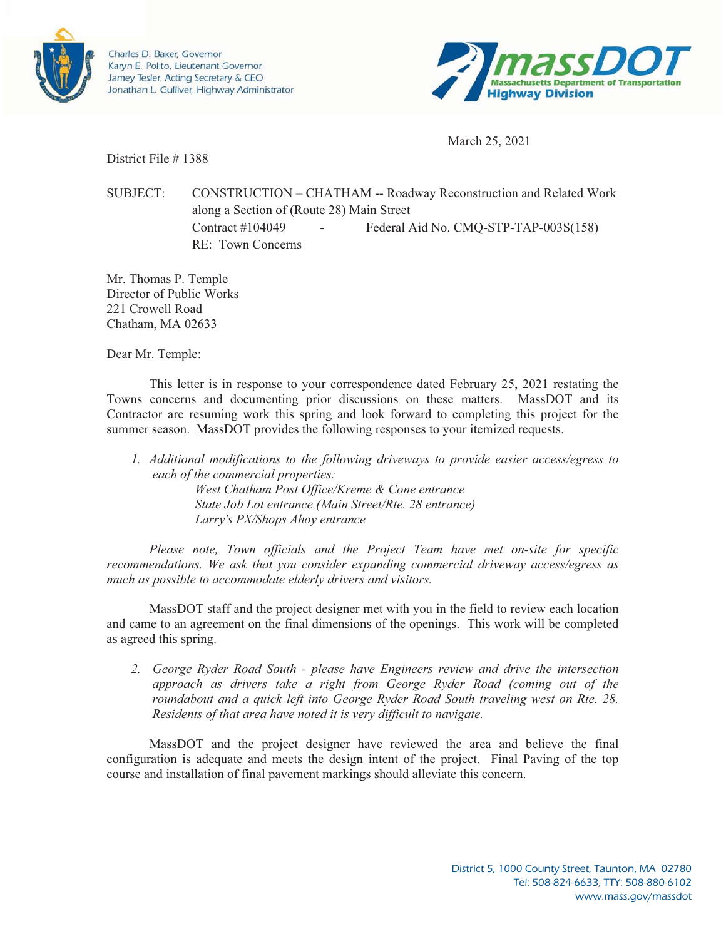

Charles D. Baker, Governor Karyn E. Polito, Lieutenant Governor Jamey Tesler, Acting Secretary & CEO Jonathan L. Gulliver, Highway Administrator



March 25, 2021

District File # 1388

SUBJECT: CONSTRUCTION – CHATHAM -- Roadway Reconstruction and Related Work along a Section of (Route 28) Main Street Contract #104049 - Federal Aid No. CMQ-STP-TAP-003S(158) RE: Town Concerns

Mr. Thomas P. Temple Director of Public Works 221 Crowell Road Chatham, MA 02633

Dear Mr. Temple:

 This letter is in response to your correspondence dated February 25, 2021 restating the Towns concerns and documenting prior discussions on these matters. MassDOT and its Contractor are resuming work this spring and look forward to completing this project for the summer season. MassDOT provides the following responses to your itemized requests.

*1. Additional modifications to the following driveways to provide easier access/egress to each of the commercial properties: West Chatham Post Office/Kreme & Cone entrance State Job Lot entrance (Main Street/Rte. 28 entrance)*

*Larry's PX/Shops Ahoy entrance*

*Please note, Town officials and the Project Team have met on-site for specific recommendations. We ask that you consider expanding commercial driveway access/egress as much as possible to accommodate elderly drivers and visitors.* 

MassDOT staff and the project designer met with you in the field to review each location and came to an agreement on the final dimensions of the openings. This work will be completed as agreed this spring.

*2. George Ryder Road South - please have Engineers review and drive the intersection approach as drivers take a right from George Ryder Road (coming out of the roundabout and a quick left into George Ryder Road South traveling west on Rte. 28. Residents of that area have noted it is very difficult to navigate.*

MassDOT and the project designer have reviewed the area and believe the final configuration is adequate and meets the design intent of the project. Final Paving of the top course and installation of final pavement markings should alleviate this concern.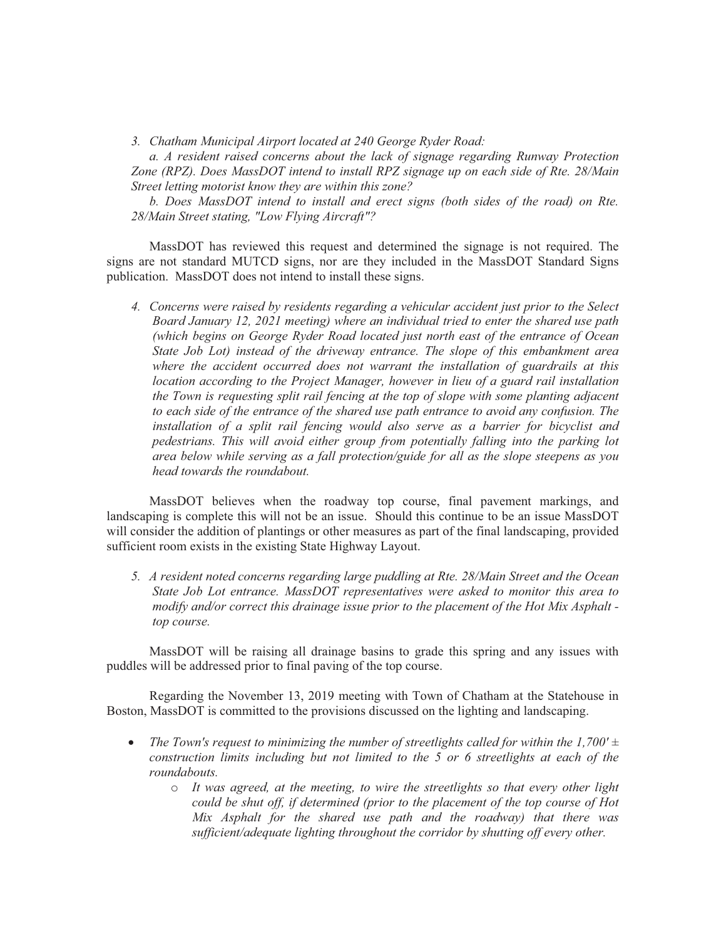*3. Chatham Municipal Airport located at 240 George Ryder Road:*

*a. A resident raised concerns about the lack of signage regarding Runway Protection Zone (RPZ). Does MassDOT intend to install RPZ signage up on each side of Rte. 28/Main Street letting motorist know they are within this zone?*

*b. Does MassDOT intend to install and erect signs (both sides of the road) on Rte. 28/Main Street stating, "Low Flying Aircraft"?*

MassDOT has reviewed this request and determined the signage is not required. The signs are not standard MUTCD signs, nor are they included in the MassDOT Standard Signs publication. MassDOT does not intend to install these signs.

*4. Concerns were raised by residents regarding a vehicular accident just prior to the Select Board January 12, 2021 meeting) where an individual tried to enter the shared use path (which begins on George Ryder Road located just north east of the entrance of Ocean State Job Lot) instead of the driveway entrance. The slope of this embankment area where the accident occurred does not warrant the installation of guardrails at this location according to the Project Manager, however in lieu of a guard rail installation the Town is requesting split rail fencing at the top of slope with some planting adjacent to each side of the entrance of the shared use path entrance to avoid any confusion. The installation of a split rail fencing would also serve as a barrier for bicyclist and pedestrians. This will avoid either group from potentially falling into the parking lot area below while serving as a fall protection/guide for all as the slope steepens as you head towards the roundabout.*

MassDOT believes when the roadway top course, final pavement markings, and landscaping is complete this will not be an issue. Should this continue to be an issue MassDOT will consider the addition of plantings or other measures as part of the final landscaping, provided sufficient room exists in the existing State Highway Layout.

*5. A resident noted concerns regarding large puddling at Rte. 28/Main Street and the Ocean State Job Lot entrance. MassDOT representatives were asked to monitor this area to modify and/or correct this drainage issue prior to the placement of the Hot Mix Asphalt top course.*

MassDOT will be raising all drainage basins to grade this spring and any issues with puddles will be addressed prior to final paving of the top course.

Regarding the November 13, 2019 meeting with Town of Chatham at the Statehouse in Boston, MassDOT is committed to the provisions discussed on the lighting and landscaping.

- The Town's request to minimizing the number of streetlights called for within the 1,700' ± *construction limits including but not limited to the 5 or 6 streetlights at each of the roundabouts.*
	- o *It was agreed, at the meeting, to wire the streetlights so that every other light could be shut off, if determined (prior to the placement of the top course of Hot Mix Asphalt for the shared use path and the roadway) that there was sufficient/adequate lighting throughout the corridor by shutting off every other.*